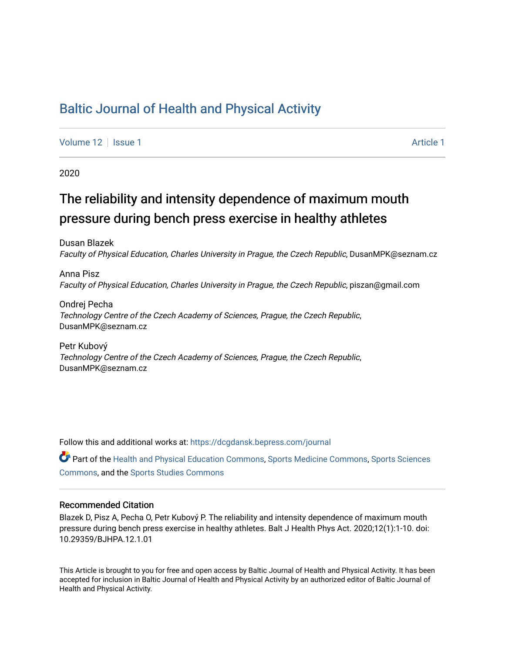## [Baltic Journal of Health and Physical Activity](https://dcgdansk.bepress.com/journal)

[Volume 12](https://dcgdansk.bepress.com/journal/vol12) | [Issue 1](https://dcgdansk.bepress.com/journal/vol12/iss1) [Article 1](https://dcgdansk.bepress.com/journal/vol12/iss1/1) Article 1 Article 1 Article 1 Article 1 Article 1 Article 1 Article 1 Article 1

2020

## The reliability and intensity dependence of maximum mouth pressure during bench press exercise in healthy athletes

Dusan Blazek Faculty of Physical Education, Charles University in Prague, the Czech Republic, DusanMPK@seznam.cz

Anna Pisz Faculty of Physical Education, Charles University in Prague, the Czech Republic, piszan@gmail.com

Ondrej Pecha Technology Centre of the Czech Academy of Sciences, Prague, the Czech Republic, DusanMPK@seznam.cz

Petr Kubový Technology Centre of the Czech Academy of Sciences, Prague, the Czech Republic, DusanMPK@seznam.cz

Follow this and additional works at: [https://dcgdansk.bepress.com/journal](https://dcgdansk.bepress.com/journal?utm_source=dcgdansk.bepress.com%2Fjournal%2Fvol12%2Fiss1%2F1&utm_medium=PDF&utm_campaign=PDFCoverPages)

Part of the [Health and Physical Education Commons](http://network.bepress.com/hgg/discipline/1327?utm_source=dcgdansk.bepress.com%2Fjournal%2Fvol12%2Fiss1%2F1&utm_medium=PDF&utm_campaign=PDFCoverPages), [Sports Medicine Commons,](http://network.bepress.com/hgg/discipline/1331?utm_source=dcgdansk.bepress.com%2Fjournal%2Fvol12%2Fiss1%2F1&utm_medium=PDF&utm_campaign=PDFCoverPages) [Sports Sciences](http://network.bepress.com/hgg/discipline/759?utm_source=dcgdansk.bepress.com%2Fjournal%2Fvol12%2Fiss1%2F1&utm_medium=PDF&utm_campaign=PDFCoverPages) [Commons](http://network.bepress.com/hgg/discipline/759?utm_source=dcgdansk.bepress.com%2Fjournal%2Fvol12%2Fiss1%2F1&utm_medium=PDF&utm_campaign=PDFCoverPages), and the [Sports Studies Commons](http://network.bepress.com/hgg/discipline/1198?utm_source=dcgdansk.bepress.com%2Fjournal%2Fvol12%2Fiss1%2F1&utm_medium=PDF&utm_campaign=PDFCoverPages) 

#### Recommended Citation

Blazek D, Pisz A, Pecha O, Petr Kubový P. The reliability and intensity dependence of maximum mouth pressure during bench press exercise in healthy athletes. Balt J Health Phys Act. 2020;12(1):1-10. doi: 10.29359/BJHPA.12.1.01

This Article is brought to you for free and open access by Baltic Journal of Health and Physical Activity. It has been accepted for inclusion in Baltic Journal of Health and Physical Activity by an authorized editor of Baltic Journal of Health and Physical Activity.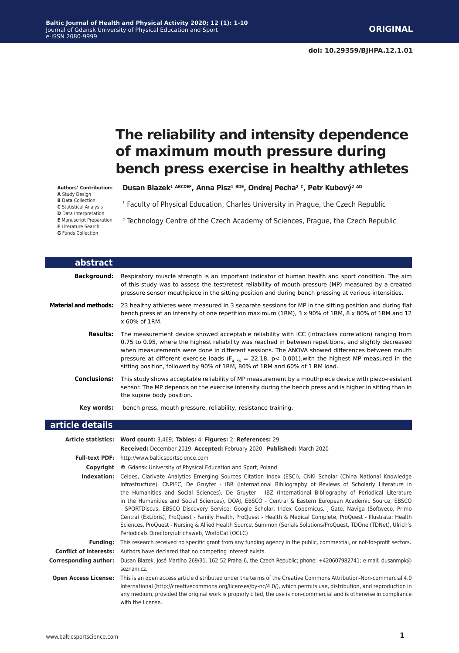# **The reliability and intensity dependence of maximum mouth pressure during bench press exercise in healthy athletes**

**Authors' Contribution: A** Study Design

**B** Data Collection

**C** Statistical Analysis

**D** Data Interpretation

**E** Manuscript Preparation

**F** Literature Search

**G** Funds Collection

**Dusan Blazek1 ABCDEF, Anna Pisz1 BDE, Ondrej Pecha2 C, Petr Kubový2 AD**

<sup>1</sup> Faculty of Physical Education, Charles University in Prague, the Czech Republic

<sup>2</sup> Technology Centre of the Czech Academy of Sciences, Prague, the Czech Republic

| abstract                     |                                                                                                                                                                                                                                                                                                                                                                                                                                                                                                                  |
|------------------------------|------------------------------------------------------------------------------------------------------------------------------------------------------------------------------------------------------------------------------------------------------------------------------------------------------------------------------------------------------------------------------------------------------------------------------------------------------------------------------------------------------------------|
| <b>Background:</b>           | Respiratory muscle strength is an important indicator of human health and sport condition. The aim<br>of this study was to assess the test/retest reliability of mouth pressure (MP) measured by a created<br>pressure sensor mouthpiece in the sitting position and during bench pressing at various intensities.                                                                                                                                                                                               |
| <b>Material and methods:</b> | 23 healthy athletes were measured in 3 separate sessions for MP in the sitting position and during flat<br>bench press at an intensity of one repetition maximum (1RM), 3 x 90% of 1RM, 8 x 80% of 1RM and 12<br>x 60% of 1RM.                                                                                                                                                                                                                                                                                   |
| <b>Results:</b>              | The measurement device showed acceptable reliability with ICC (Intraclass correlation) ranging from<br>0.75 to 0.95, where the highest reliability was reached in between repetitions, and slightly decreased<br>when measurements were done in different sessions. The ANOVA showed differences between mouth<br>pressure at different exercise loads (F <sub>4 56</sub> = 22.18, p < 0.001), with the highest MP measured in the<br>sitting position, followed by 90% of 1RM, 80% of 1RM and 60% of 1 RM load. |
| <b>Conclusions:</b>          | This study shows acceptable reliability of MP measurement by a mouthpiece device with piezo-resistant<br>sensor. The MP depends on the exercise intensity during the bench press and is higher in sitting than in<br>the supine body position.                                                                                                                                                                                                                                                                   |
| Key words:                   | bench press, mouth pressure, reliability, resistance training.                                                                                                                                                                                                                                                                                                                                                                                                                                                   |
| .                            |                                                                                                                                                                                                                                                                                                                                                                                                                                                                                                                  |

#### **article details**

|                               | Article statistics: Word count: 3,469; Tables: 4; Figures: 2; References: 29<br>Received: December 2019; Accepted: February 2020; Published: March 2020                                                                                                                                                                                                                                                                                                                                                                                                                                                                                                                                                                                                                                                                                                       |
|-------------------------------|---------------------------------------------------------------------------------------------------------------------------------------------------------------------------------------------------------------------------------------------------------------------------------------------------------------------------------------------------------------------------------------------------------------------------------------------------------------------------------------------------------------------------------------------------------------------------------------------------------------------------------------------------------------------------------------------------------------------------------------------------------------------------------------------------------------------------------------------------------------|
|                               |                                                                                                                                                                                                                                                                                                                                                                                                                                                                                                                                                                                                                                                                                                                                                                                                                                                               |
|                               | <b>Full-text PDF:</b> http://www.balticsportscience.com                                                                                                                                                                                                                                                                                                                                                                                                                                                                                                                                                                                                                                                                                                                                                                                                       |
| Copyright                     | © Gdansk University of Physical Education and Sport, Poland                                                                                                                                                                                                                                                                                                                                                                                                                                                                                                                                                                                                                                                                                                                                                                                                   |
| Indexation:                   | Celdes, Clarivate Analytics Emerging Sources Citation Index (ESCI), CNKI Scholar (China National Knowledge<br>Infrastructure), CNPIEC, De Gruyter - IBR (International Bibliography of Reviews of Scholarly Literature in<br>the Humanities and Social Sciences), De Gruyter - IBZ (International Bibliography of Periodical Literature<br>in the Humanities and Social Sciences), DOAJ, EBSCO - Central & Eastern European Academic Source, EBSCO<br>- SPORTDiscus, EBSCO Discovery Service, Google Scholar, Index Copernicus, J-Gate, Naviga (Softweco, Primo<br>Central (ExLibris), ProQuest - Family Health, ProQuest - Health & Medical Complete, ProQuest - Illustrata: Health<br>Sciences, ProQuest - Nursing & Allied Health Source, Summon (Serials Solutions/ProQuest, TDOne (TDNet), Ulrich's<br>Periodicals Directory/ulrichsweb, WorldCat (OCLC) |
| <b>Funding:</b>               | This research received no specific grant from any funding agency in the public, commercial, or not-for-profit sectors.                                                                                                                                                                                                                                                                                                                                                                                                                                                                                                                                                                                                                                                                                                                                        |
| <b>Conflict of interests:</b> | Authors have declared that no competing interest exists.                                                                                                                                                                                                                                                                                                                                                                                                                                                                                                                                                                                                                                                                                                                                                                                                      |
| Corresponding author:         | Dusan Blazek, José Martího 269/31, 162 52 Praha 6, the Czech Republic; phone: +420607982741; e-mail: dusanmpk@<br>seznam.cz.                                                                                                                                                                                                                                                                                                                                                                                                                                                                                                                                                                                                                                                                                                                                  |
| <b>Open Access License:</b>   | This is an open access article distributed under the terms of the Creative Commons Attribution-Non-commercial 4.0<br>International (http://creativecommons.org/licenses/by-nc/4.0/), which permits use, distribution, and reproduction in<br>any medium, provided the original work is properly cited, the use is non-commercial and is otherwise in compliance<br>with the license.                                                                                                                                                                                                                                                                                                                                                                                                                                                                          |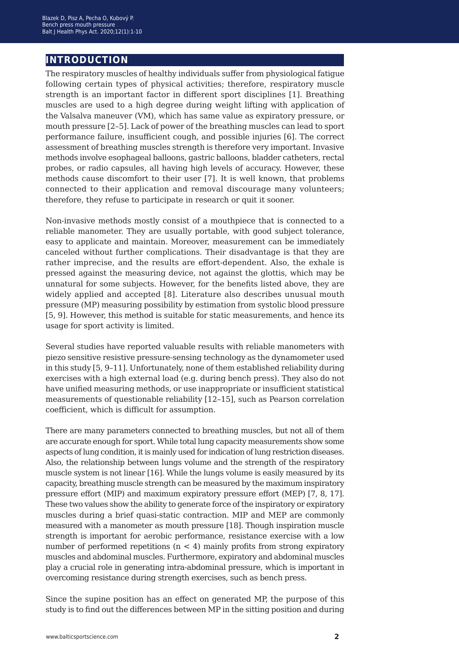## **introduction**

The respiratory muscles of healthy individuals suffer from physiological fatigue following certain types of physical activities; therefore, respiratory muscle strength is an important factor in different sport disciplines [1]. Breathing muscles are used to a high degree during weight lifting with application of the Valsalva maneuver (VM), which has same value as expiratory pressure, or mouth pressure [2–5]. Lack of power of the breathing muscles can lead to sport performance failure, insufficient cough, and possible injuries [6]. The correct assessment of breathing muscles strength is therefore very important. Invasive methods involve esophageal balloons, gastric balloons, bladder catheters, rectal probes, or radio capsules, all having high levels of accuracy. However, these methods cause discomfort to their user [7]. It is well known, that problems connected to their application and removal discourage many volunteers; therefore, they refuse to participate in research or quit it sooner.

Non-invasive methods mostly consist of a mouthpiece that is connected to a reliable manometer. They are usually portable, with good subject tolerance, easy to applicate and maintain. Moreover, measurement can be immediately canceled without further complications. Their disadvantage is that they are rather imprecise, and the results are effort-dependent. Also, the exhale is pressed against the measuring device, not against the glottis, which may be unnatural for some subjects. However, for the benefits listed above, they are widely applied and accepted [8]. Literature also describes unusual mouth pressure (MP) measuring possibility by estimation from systolic blood pressure [5, 9]. However, this method is suitable for static measurements, and hence its usage for sport activity is limited.

Several studies have reported valuable results with reliable manometers with piezo sensitive resistive pressure-sensing technology as the dynamometer used in this study [5, 9–11]. Unfortunately, none of them established reliability during exercises with a high external load (e.g. during bench press). They also do not have unified measuring methods, or use inappropriate or insufficient statistical measurements of questionable reliability [12–15], such as Pearson correlation coefficient, which is difficult for assumption.

There are many parameters connected to breathing muscles, but not all of them are accurate enough for sport. While total lung capacity measurements show some aspects of lung condition, it is mainly used for indication of lung restriction diseases. Also, the relationship between lungs volume and the strength of the respiratory muscle system is not linear [16]. While the lungs volume is easily measured by its capacity, breathing muscle strength can be measured by the maximum inspiratory pressure effort (MIP) and maximum expiratory pressure effort (MEP) [7, 8, 17]. These two values show the ability to generate force of the inspiratory or expiratory muscles during a brief quasi-static contraction. MIP and MEP are commonly measured with a manometer as mouth pressure [18]. Though inspiration muscle strength is important for aerobic performance, resistance exercise with a low number of performed repetitions  $(n < 4)$  mainly profits from strong expiratory muscles and abdominal muscles. Furthermore, expiratory and abdominal muscles play a crucial role in generating intra-abdominal pressure, which is important in overcoming resistance during strength exercises, such as bench press.

Since the supine position has an effect on generated MP, the purpose of this study is to find out the differences between MP in the sitting position and during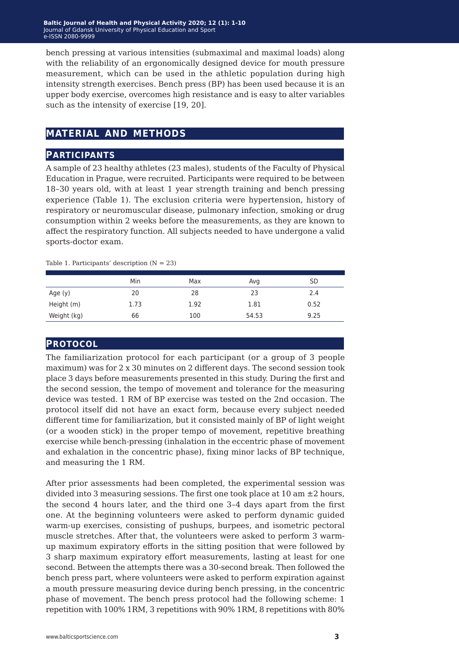bench pressing at various intensities (submaximal and maximal loads) along with the reliability of an ergonomically designed device for mouth pressure measurement, which can be used in the athletic population during high intensity strength exercises. Bench press (BP) has been used because it is an upper body exercise, overcomes high resistance and is easy to alter variables such as the intensity of exercise [19, 20].

## **material and methods**

#### **participants**

A sample of 23 healthy athletes (23 males), students of the Faculty of Physical Education in Prague, were recruited. Participants were required to be between 18–30 years old, with at least 1 year strength training and bench pressing experience (Table 1). The exclusion criteria were hypertension, history of respiratory or neuromuscular disease, pulmonary infection, smoking or drug consumption within 2 weeks before the measurements, as they are known to affect the respiratory function. All subjects needed to have undergone a valid sports-doctor exam.

|             | Min  | Max  | Avg   | SD   |
|-------------|------|------|-------|------|
| Age (y)     | 20   | 28   | 23    | 2.4  |
| Height (m)  | 1.73 | 1.92 | 1.81  | 0.52 |
| Weight (kg) | 66   | 100  | 54.53 | 9.25 |

Table 1. Participants' description  $(N = 23)$ 

#### **protocol**

The familiarization protocol for each participant (or a group of 3 people maximum) was for 2 x 30 minutes on 2 different days. The second session took place 3 days before measurements presented in this study. During the first and the second session, the tempo of movement and tolerance for the measuring device was tested. 1 RM of BP exercise was tested on the 2nd occasion. The protocol itself did not have an exact form, because every subject needed different time for familiarization, but it consisted mainly of BP of light weight (or a wooden stick) in the proper tempo of movement, repetitive breathing exercise while bench-pressing (inhalation in the eccentric phase of movement and exhalation in the concentric phase), fixing minor lacks of BP technique, and measuring the 1 RM.

After prior assessments had been completed, the experimental session was divided into 3 measuring sessions. The first one took place at 10 am  $\pm 2$  hours, the second 4 hours later, and the third one 3–4 days apart from the first one. At the beginning volunteers were asked to perform dynamic guided warm-up exercises, consisting of pushups, burpees, and isometric pectoral muscle stretches. After that, the volunteers were asked to perform 3 warmup maximum expiratory efforts in the sitting position that were followed by 3 sharp maximum expiratory effort measurements, lasting at least for one second. Between the attempts there was a 30-second break. Then followed the bench press part, where volunteers were asked to perform expiration against a mouth pressure measuring device during bench pressing, in the concentric phase of movement. The bench press protocol had the following scheme: 1 repetition with 100% 1RM, 3 repetitions with 90% 1RM, 8 repetitions with 80%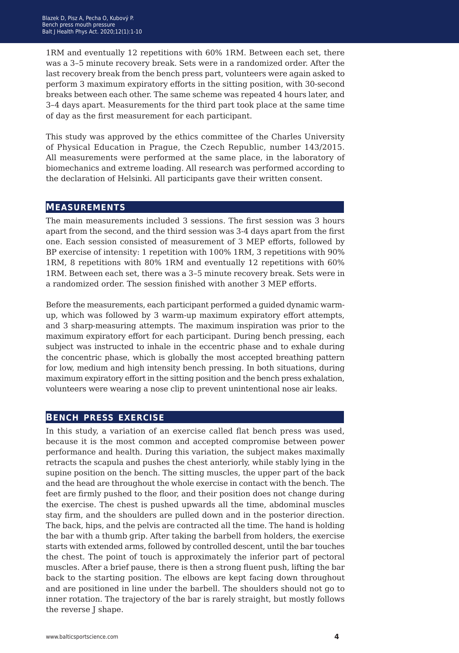1RM and eventually 12 repetitions with 60% 1RM. Between each set, there was a 3–5 minute recovery break. Sets were in a randomized order. After the last recovery break from the bench press part, volunteers were again asked to perform 3 maximum expiratory efforts in the sitting position, with 30-second breaks between each other. The same scheme was repeated 4 hours later, and 3–4 days apart. Measurements for the third part took place at the same time of day as the first measurement for each participant.

This study was approved by the ethics committee of the Charles University of Physical Education in Prague, the Czech Republic, number 143/2015. All measurements were performed at the same place, in the laboratory of biomechanics and extreme loading. All research was performed according to the declaration of Helsinki. All participants gave their written consent.

#### **measurements**

The main measurements included 3 sessions. The first session was 3 hours apart from the second, and the third session was 3-4 days apart from the first one. Each session consisted of measurement of 3 MEP efforts, followed by BP exercise of intensity: 1 repetition with 100% 1RM, 3 repetitions with 90% 1RM, 8 repetitions with 80% 1RM and eventually 12 repetitions with 60% 1RM. Between each set, there was a 3–5 minute recovery break. Sets were in a randomized order. The session finished with another 3 MEP efforts.

Before the measurements, each participant performed a guided dynamic warmup, which was followed by 3 warm-up maximum expiratory effort attempts, and 3 sharp-measuring attempts. The maximum inspiration was prior to the maximum expiratory effort for each participant. During bench pressing, each subject was instructed to inhale in the eccentric phase and to exhale during the concentric phase, which is globally the most accepted breathing pattern for low, medium and high intensity bench pressing. In both situations, during maximum expiratory effort in the sitting position and the bench press exhalation, volunteers were wearing a nose clip to prevent unintentional nose air leaks.

#### **bench press exercise**

In this study, a variation of an exercise called flat bench press was used, because it is the most common and accepted compromise between power performance and health. During this variation, the subject makes maximally retracts the scapula and pushes the chest anteriorly, while stably lying in the supine position on the bench. The sitting muscles, the upper part of the back and the head are throughout the whole exercise in contact with the bench. The feet are firmly pushed to the floor, and their position does not change during the exercise. The chest is pushed upwards all the time, abdominal muscles stay firm, and the shoulders are pulled down and in the posterior direction. The back, hips, and the pelvis are contracted all the time. The hand is holding the bar with a thumb grip. After taking the barbell from holders, the exercise starts with extended arms, followed by controlled descent, until the bar touches the chest. The point of touch is approximately the inferior part of pectoral muscles. After a brief pause, there is then a strong fluent push, lifting the bar back to the starting position. The elbows are kept facing down throughout and are positioned in line under the barbell. The shoulders should not go to inner rotation. The trajectory of the bar is rarely straight, but mostly follows the reverse J shape.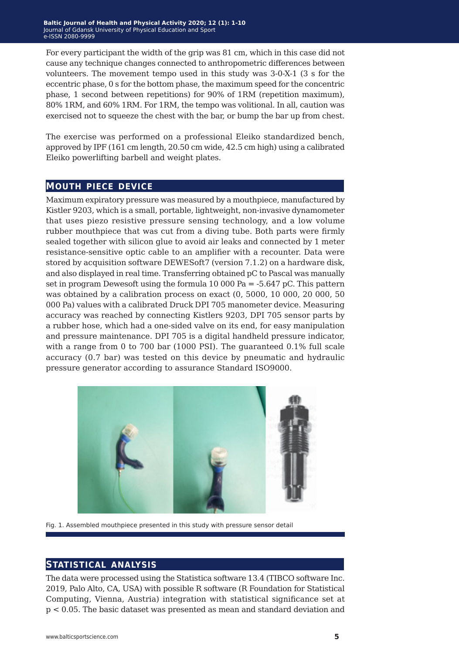For every participant the width of the grip was 81 cm, which in this case did not cause any technique changes connected to anthropometric differences between volunteers. The movement tempo used in this study was 3-0-X-1 (3 s for the eccentric phase, 0 s for the bottom phase, the maximum speed for the concentric phase, 1 second between repetitions) for 90% of 1RM (repetition maximum), 80% 1RM, and 60% 1RM. For 1RM, the tempo was volitional. In all, caution was exercised not to squeeze the chest with the bar, or bump the bar up from chest.

The exercise was performed on a professional Eleiko standardized bench, approved by IPF (161 cm length, 20.50 cm wide, 42.5 cm high) using a calibrated Eleiko powerlifting barbell and weight plates.

#### **mouth piece device**

Maximum expiratory pressure was measured by a mouthpiece, manufactured by Kistler 9203, which is a small, portable, lightweight, non-invasive dynamometer that uses piezo resistive pressure sensing technology, and a low volume rubber mouthpiece that was cut from a diving tube. Both parts were firmly sealed together with silicon glue to avoid air leaks and connected by 1 meter resistance-sensitive optic cable to an amplifier with a recounter. Data were stored by acquisition software DEWESoft7 (version 7.1.2) on a hardware disk, and also displayed in real time. Transferring obtained pC to Pascal was manually set in program Dewesoft using the formula 10 000 Pa =  $-5.647$  pC. This pattern was obtained by a calibration process on exact (0, 5000, 10 000, 20 000, 50 000 Pa) values with a calibrated Druck DPI 705 manometer device. Measuring accuracy was reached by connecting Kistlers 9203, DPI 705 sensor parts by a rubber hose, which had a one-sided valve on its end, for easy manipulation and pressure maintenance. DPI 705 is a digital handheld pressure indicator, with a range from 0 to 700 bar (1000 PSI). The guaranteed 0.1% full scale accuracy (0.7 bar) was tested on this device by pneumatic and hydraulic pressure generator according to assurance Standard ISO9000.



Fig. 1. Assembled mouthpiece presented in this study with pressure sensor detail

#### **statistical analysis**

The data were processed using the Statistica software 13.4 (TIBCO software Inc. 2019, Palo Alto, CA, USA) with possible R software (R Foundation for Statistical Computing, Vienna, Austria) integration with statistical significance set at p < 0.05. The basic dataset was presented as mean and standard deviation and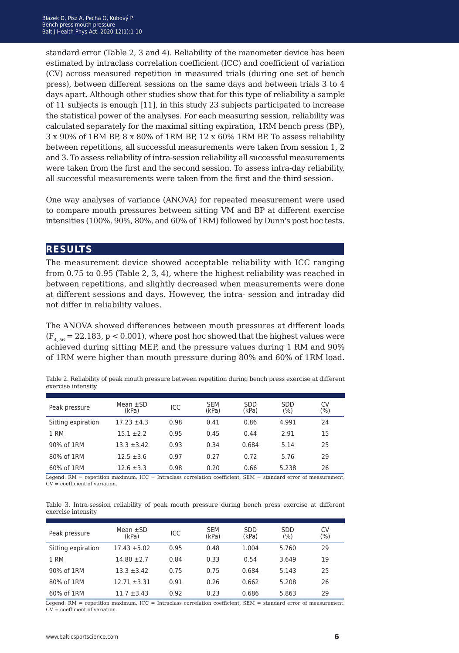standard error (Table 2, 3 and 4). Reliability of the manometer device has been estimated by intraclass correlation coefficient (ICC) and coefficient of variation (CV) across measured repetition in measured trials (during one set of bench press), between different sessions on the same days and between trials 3 to 4 days apart. Although other studies show that for this type of reliability a sample of 11 subjects is enough [11], in this study 23 subjects participated to increase the statistical power of the analyses. For each measuring session, reliability was calculated separately for the maximal sitting expiration, 1RM bench press (BP), 3 x 90% of 1RM BP, 8 x 80% of 1RM BP, 12 x 60% 1RM BP. To assess reliability between repetitions, all successful measurements were taken from session 1, 2 and 3. To assess reliability of intra-session reliability all successful measurements were taken from the first and the second session. To assess intra-day reliability, all successful measurements were taken from the first and the third session.

One way analyses of variance (ANOVA) for repeated measurement were used to compare mouth pressures between sitting VM and BP at different exercise intensities (100%, 90%, 80%, and 60% of 1RM) followed by Dunn's post hoc tests.

#### **results**

The measurement device showed acceptable reliability with ICC ranging from 0.75 to 0.95 (Table 2, 3, 4), where the highest reliability was reached in between repetitions, and slightly decreased when measurements were done at different sessions and days. However, the intra- session and intraday did not differ in reliability values.

The ANOVA showed differences between mouth pressures at different loads  $(F_{4,56} = 22.183, p < 0.001)$ , where post hoc showed that the highest values were achieved during sitting MEP, and the pressure values during 1 RM and 90% of 1RM were higher than mouth pressure during 80% and 60% of 1RM load.

| Peak pressure      | Mean $\pm$ SD<br>(kPa) | ICC  | <b>SEM</b><br>(kPa) | <b>SDD</b><br>(kPa) | <b>SDD</b><br>(%) | CV<br>$(\% )$ |
|--------------------|------------------------|------|---------------------|---------------------|-------------------|---------------|
| Sitting expiration | $17.23 \pm 4.3$        | 0.98 | 0.41                | 0.86                | 4.991             | 24            |
| 1 RM               | $15.1 + 2.2$           | 0.95 | 0.45                | 0.44                | 2.91              | 15            |
| 90% of 1RM         | $13.3 \pm 3.42$        | 0.93 | 0.34                | 0.684               | 5.14              | 25            |
| 80% of 1RM         | $12.5 \pm 3.6$         | 0.97 | 0.27                | 0.72                | 5.76              | 29            |
| 60% of 1RM         | $12.6 \pm 3.3$         | 0.98 | 0.20                | 0.66                | 5.238             | 26            |

Table 2. Reliability of peak mouth pressure between repetition during bench press exercise at different exercise intensity

Legend:  $RM =$  repetition maximum,  $ICC = Intraclass correlation coefficient$ ,  $SEM = standard error of measurement$ . CV = coefficient of variation.

Table 3. Intra-session reliability of peak mouth pressure during bench press exercise at different exercise intensity

| Peak pressure      | Mean $\pm$ SD<br>(kPa) | ICC  | <b>SEM</b><br>(kPa) | <b>SDD</b><br>(kPa) | <b>SDD</b><br>(%) | CV<br>(%) |
|--------------------|------------------------|------|---------------------|---------------------|-------------------|-----------|
| Sitting expiration | $17.43 + 5.02$         | 0.95 | 0.48                | 1.004               | 5.760             | 29        |
| 1 RM               | $14.80 \pm 2.7$        | 0.84 | 0.33                | 0.54                | 3.649             | 19        |
| 90% of 1RM         | $13.3 + 3.42$          | 0.75 | 0.75                | 0.684               | 5.143             | 25        |
| 80% of 1RM         | $12.71 \pm 3.31$       | 0.91 | 0.26                | 0.662               | 5.208             | 26        |
| 60% of 1RM         | $11.7 \pm 3.43$        | 0.92 | 0.23                | 0.686               | 5.863             | 29        |
|                    |                        |      |                     |                     |                   |           |

Legend: RM = repetition maximum, ICC = Intraclass correlation coefficient, SEM = standard error of measurement,  $CV = coefficient of variation$ .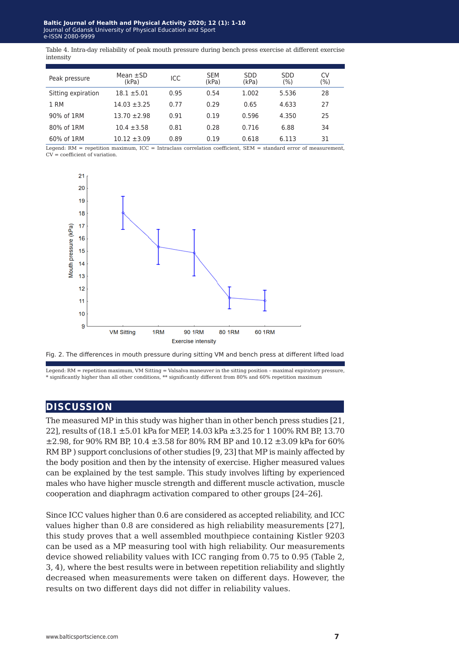Table 4. Intra-day reliability of peak mouth pressure during bench press exercise at different exercise intensity

| Peak pressure      | Mean $\pm$ SD<br>(kPa) | ICC  | <b>SEM</b><br>(kPa) | <b>SDD</b><br>(kPa) | <b>SDD</b><br>(9/0) | CV<br>(%) |
|--------------------|------------------------|------|---------------------|---------------------|---------------------|-----------|
| Sitting expiration | $18.1 + 5.01$          | 0.95 | 0.54                | 1.002               | 5.536               | 28        |
| 1 RM               | $14.03 \pm 3.25$       | 0.77 | 0.29                | 0.65                | 4.633               | 27        |
| 90% of 1RM         | $13.70 \pm 2.98$       | 0.91 | 0.19                | 0.596               | 4.350               | 25        |
| 80% of 1RM         | $10.4 \pm 3.58$        | 0.81 | 0.28                | 0.716               | 6.88                | 34        |
| 60% of 1RM         | $10.12 \pm 3.09$       | 0.89 | 0.19                | 0.618               | 6.113               | 31        |

Legend:  $RM$  = repetition maximum, ICC = Intraclass correlation coefficient, SEM = standard error of measurement, CV = coefficient of variation.



Fig. 2. The differences in mouth pressure during sitting VM and bench press at different lifted load

Legend: RM = repetition maximum, VM Sitting = Valsalva maneuver in the sitting position - maximal expiratory pressure,<br>\* significantly higher than all other conditions, \*\* significantly different from 80% and 60% repetitio

### **discussion**

The measured MP in this study was higher than in other bench press studies [21, 22], results of (18.1 ±5.01 kPa for MEP, 14.03 kPa ±3.25 for 1 100% RM BP, 13.70  $\pm$ 2.98, for 90% RM BP, 10.4  $\pm$ 3.58 for 80% RM BP and 10.12  $\pm$ 3.09 kPa for 60% RM BP ) support conclusions of other studies [9, 23] that MP is mainly affected by the body position and then by the intensity of exercise. Higher measured values can be explained by the test sample. This study involves lifting by experienced males who have higher muscle strength and different muscle activation, muscle cooperation and diaphragm activation compared to other groups [24–26].

Since ICC values higher than 0.6 are considered as accepted reliability, and ICC values higher than 0.8 are considered as high reliability measurements [27], this study proves that a well assembled mouthpiece containing Kistler 9203 can be used as a MP measuring tool with high reliability. Our measurements device showed reliability values with ICC ranging from 0.75 to 0.95 (Table 2, 3, 4), where the best results were in between repetition reliability and slightly decreased when measurements were taken on different days. However, the results on two different days did not differ in reliability values.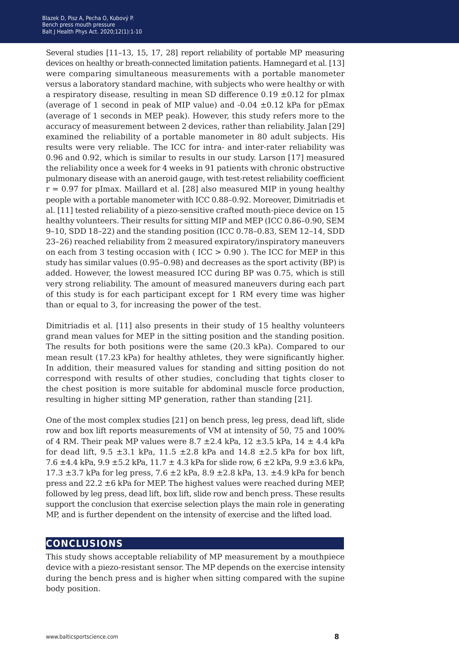Several studies [11–13, 15, 17, 28] report reliability of portable MP measuring devices on healthy or breath-connected limitation patients. Hamnegard et al. [13] were comparing simultaneous measurements with a portable manometer versus a laboratory standard machine, with subjects who were healthy or with a respiratory disease, resulting in mean SD difference  $0.19 \pm 0.12$  for pImax (average of 1 second in peak of MIP value) and  $-0.04 \pm 0.12$  kPa for pEmax (average of 1 seconds in MEP peak). However, this study refers more to the accuracy of measurement between 2 devices, rather than reliability. Jalan [29] examined the reliability of a portable manometer in 80 adult subjects. His results were very reliable. The ICC for intra- and inter-rater reliability was 0.96 and 0.92, which is similar to results in our study. Larson [17] measured the reliability once a week for 4 weeks in 91 patients with chronic obstructive pulmonary disease with an aneroid gauge, with test-retest reliability coefficient  $r = 0.97$  for pImax. Maillard et al. [28] also measured MIP in young healthy people with a portable manometer with ICC 0.88–0.92. Moreover, Dimitriadis et al. [11] tested reliability of a piezo-sensitive crafted mouth-piece device on 15 healthy volunteers. Their results for sitting MIP and MEP (ICC 0.86–0.90, SEM 9–10, SDD 18–22) and the standing position (ICC 0.78–0.83, SEM 12–14, SDD 23–26) reached reliability from 2 measured expiratory/inspiratory maneuvers on each from 3 testing occasion with (  $ICC > 0.90$  ). The ICC for MEP in this study has similar values (0.95–0.98) and decreases as the sport activity (BP) is added. However, the lowest measured ICC during BP was 0.75, which is still very strong reliability. The amount of measured maneuvers during each part of this study is for each participant except for 1 RM every time was higher than or equal to 3, for increasing the power of the test.

Dimitriadis et al. [11] also presents in their study of 15 healthy volunteers grand mean values for MEP in the sitting position and the standing position. The results for both positions were the same (20.3 kPa). Compared to our mean result (17.23 kPa) for healthy athletes, they were significantly higher. In addition, their measured values for standing and sitting position do not correspond with results of other studies, concluding that tights closer to the chest position is more suitable for abdominal muscle force production, resulting in higher sitting MP generation, rather than standing [21].

One of the most complex studies [21] on bench press, leg press, dead lift, slide row and box lift reports measurements of VM at intensity of 50, 75 and 100% of 4 RM. Their peak MP values were  $8.7 \pm 2.4$  kPa,  $12 \pm 3.5$  kPa,  $14 \pm 4.4$  kPa for dead lift,  $9.5 \pm 3.1$  kPa,  $11.5 \pm 2.8$  kPa and  $14.8 \pm 2.5$  kPa for box lift, 7.6  $\pm$ 4.4 kPa, 9.9  $\pm$ 5.2 kPa, 11.7  $\pm$  4.3 kPa for slide row, 6  $\pm$ 2 kPa, 9.9  $\pm$ 3.6 kPa, 17.3  $\pm$ 3.7 kPa for leg press, 7.6  $\pm$ 2 kPa, 8.9  $\pm$ 2.8 kPa, 13.  $\pm$ 4.9 kPa for bench press and 22.2 ±6 kPa for MEP. The highest values were reached during MEP, followed by leg press, dead lift, box lift, slide row and bench press. These results support the conclusion that exercise selection plays the main role in generating MP, and is further dependent on the intensity of exercise and the lifted load.

#### **conclusions**

This study shows acceptable reliability of MP measurement by a mouthpiece device with a piezo-resistant sensor. The MP depends on the exercise intensity during the bench press and is higher when sitting compared with the supine body position.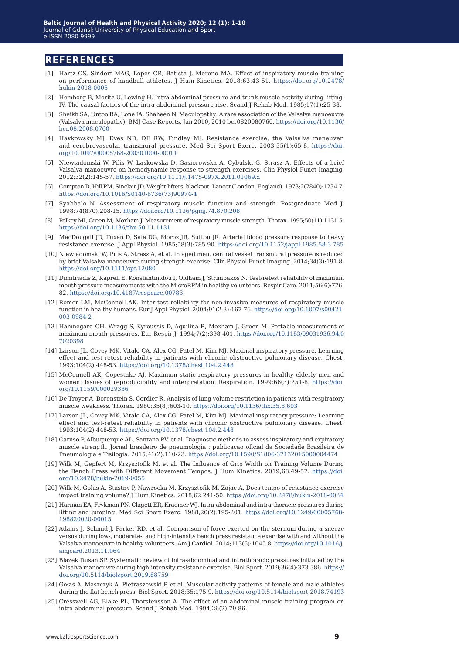#### **references**

- [1] Hartz CS, Sindorf MAG, Lopes CR, Batista J, Moreno MA. Effect of inspiratory muscle training on performance of handball athletes. J Hum Kinetics. 2018;63:43-51. [https://doi.org/10.2478/](https://doi.org/10.2478/hukin-2018-0005) [hukin-2018-0005](https://doi.org/10.2478/hukin-2018-0005)
- [2] Hemborg B, Moritz U, Lowing H. Intra-abdominal pressure and trunk muscle activity during lifting. IV. The causal factors of the intra-abdominal pressure rise. Scand J Rehab Med. 1985;17(1):25-38.
- [3] Sheikh SA, Untoo RA, Lone IA, Shaheen N. Maculopathy: A rare association of the Valsalva manoeuvre (Valsalva maculopathy). BMJ Case Reports. Jan 2010, 2010 bcr0820080760. [https://doi.org/10.1136/](https://doi.org/10.1136/bcr.08.2008.0760
) [bcr.08.2008.0760](https://doi.org/10.1136/bcr.08.2008.0760
)
- [4] Haykowsky MJ, Eves ND, DE RW, Findlay MJ. Resistance exercise, the Valsalva maneuver, and cerebrovascular transmural pressure. Med Sci Sport Exerc. 2003;35(1):65-8. [https://doi.](https://doi.org/10.1097/00005768-200301000-00011
) [org/10.1097/00005768-200301000-00011](https://doi.org/10.1097/00005768-200301000-00011
)
- [5] Niewiadomski W, Pilis W, Laskowska D, Gasiorowska A, Cybulski G, Strasz A. Effects of a brief Valsalva manoeuvre on hemodynamic response to strength exercises. Clin Physiol Funct Imaging. 2012;32(2):145-57.<https://doi.org/10.1111/j.1475-097X.2011.01069.x>
- [6] Compton D, Hill PM, Sinclair JD. Weight-lifters' blackout. Lancet (London, England). 1973;2(7840):1234-7. [https://doi.org/10.1016/S0140-6736\(73\)90974-4](https://doi.org/10.1016/S0140-6736(73)90974-4)
- [7] Syabbalo N. Assessment of respiratory muscle function and strength. Postgraduate Med J. 1998;74(870):208-15.<https://doi.org/10.1136/pgmj.74.870.208>
- [8] Polkey MI, Green M, Moxham J. Measurement of respiratory muscle strength. Thorax. 1995;50(11):1131-5. <https://doi.org/10.1136/thx.50.11.1131>
- [9] MacDougall JD, Tuxen D, Sale DG, Moroz JR, Sutton JR. Arterial blood pressure response to heavy resistance exercise. J Appl Physiol. 1985;58(3):785-90.<https://doi.org/10.1152/jappl.1985.58.3.785>
- [10] Niewiadomski W, Pilis A, Strasz A, et al. In aged men, central vessel transmural pressure is reduced by brief Valsalva manoeuvre during strength exercise. Clin Physiol Funct Imaging. 2014;34(3):191-8. <https://doi.org/10.1111/cpf.12080>
- [11] Dimitriadis Z, Kapreli E, Konstantinidou I, Oldham J, Strimpakos N. Test/retest reliability of maximum mouth pressure measurements with the MicroRPM in healthy volunteers. Respir Care. 2011;56(6):776- 82.<https://doi.org/10.4187/respcare.00783>
- [12] Romer LM, McConnell AK. Inter-test reliability for non-invasive measures of respiratory muscle function in healthy humans. Eur J Appl Physiol. 2004;91(2-3):167-76. [https://doi.org/10.1007/s00421-](https://doi.org/10.1007/s00421-003-0984-2) [003-0984-2](https://doi.org/10.1007/s00421-003-0984-2)
- [13] Hamnegard CH, Wragg S, Kyroussis D, Aquilina R, Moxham J, Green M. Portable measurement of maximum mouth pressures. Eur Respir J. 1994;7(2):398-401. [https://doi.org/10.1183/09031936.94.0](https://doi.org/10.1183/09031936.94.07020398) [7020398](https://doi.org/10.1183/09031936.94.07020398)
- [14] Larson JL, Covey MK, Vitalo CA, Alex CG, Patel M, Kim MJ. Maximal inspiratory pressure. Learning effect and test-retest reliability in patients with chronic obstructive pulmonary disease. Chest. 1993;104(2):448-53. <https://doi.org/10.1378/chest.104.2.448>
- [15] McConnell AK, Copestake AJ. Maximum static respiratory pressures in healthy elderly men and women: Issues of reproducibility and interpretation. Respiration. 1999;66(3):251-8. [https://doi.](https://doi.org/10.1159/000029386) [org/10.1159/000029386](https://doi.org/10.1159/000029386)
- [16] De Troyer A, Borenstein S, Cordier R. Analysis of lung volume restriction in patients with respiratory muscle weakness. Thorax. 1980;35(8):603-10. <https://doi.org/10.1136/thx.35.8.603>
- [17] Larson JL, Covey MK, Vitalo CA, Alex CG, Patel M, Kim MJ. Maximal inspiratory pressure: Learning effect and test-retest reliability in patients with chronic obstructive pulmonary disease. Chest. 1993;104(2):448-53. <https://doi.org/10.1378/chest.104.2.448>
- [18] Caruso P, Albuquerque AL, Santana PV, et al. Diagnostic methods to assess inspiratory and expiratory muscle strength. Jornal brasileiro de pneumologia : publicacao oficial da Sociedade Brasileira de Pneumologia e Tisilogia. 2015;41(2):110-23. <https://doi.org/10.1590/S1806-37132015000004474>
- [19] Wilk M, Gepfert M, Krzysztofik M, et al. The Influence of Grip Width on Training Volume During the Bench Press with Different Movement Tempos. J Hum Kinetics. 2019;68:49-57. [https://doi.](https://doi.org/10.2478/hukin-2019-0055) [org/10.2478/hukin-2019-0055](https://doi.org/10.2478/hukin-2019-0055)
- [20] Wilk M, Golas A, Stastny P, Nawrocka M, Krzysztofik M, Zajac A. Does tempo of resistance exercise impact training volume? J Hum Kinetics. 2018;62:241-50. <https://doi.org/10.2478/hukin-2018-0034>
- [21] Harman EA, Frykman PN, Clagett ER, Kraemer WJ. Intra-abdominal and intra-thoracic pressures during lifting and jumping. Med Sci Sport Exerc. 1988;20(2):195-201. [https://doi.org/10.1249/00005768-](https://doi.org/10.1249/00005768-198820020-00015) [198820020-00015](https://doi.org/10.1249/00005768-198820020-00015)
- [22] Adams J, Schmid J, Parker RD, et al. Comparison of force exerted on the sternum during a sneeze versus during low-, moderate-, and high-intensity bench press resistance exercise with and without the Valsalva manoeuvre in healthy volunteers. Am J Cardiol. 2014;113(6):1045-8. [https://doi.org/10.1016/j.](https://doi.org/10.1016/j.amjcard.2013.11.064) [amjcard.2013.11.064](https://doi.org/10.1016/j.amjcard.2013.11.064)
- [23] Blazek Dusan SP. Systematic review of intra-abdominal and intrathoracic pressures initiated by the Valsalva manoeuvre during high-intensity resistance exercise. Biol Sport. 2019;36(4):373-386. [https://](https://doi.org/10.5114/biolsport.2019.88759) [doi.org/10.5114/biolsport.2019.88759](https://doi.org/10.5114/biolsport.2019.88759)
- [24] Gołaś A, Maszczyk A, Pietraszewski P, et al. Muscular activity patterns of female and male athletes during the flat bench press. Biol Sport. 2018;35:175-9. [https://doi.org/10.5114/biolsport.2018.74193](https://doi.org/10.5114/biolsport.2018.74193
)
- [25] Cresswell AG, Blake PL, Thorstensson A. The effect of an abdominal muscle training program on intra-abdominal pressure. Scand J Rehab Med. 1994;26(2):79-86.